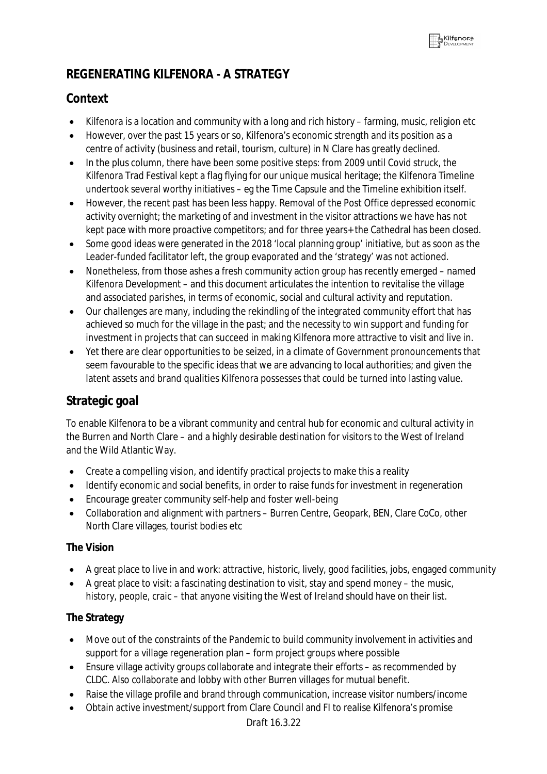# **REGENERATING KILFENORA - A STRATEGY**

# **Context**

- Kilfenora is a location and community with a long and rich history farming, music, religion etc
- However, over the past 15 years or so, Kilfenora's economic strength and its position as a centre of activity (business and retail, tourism, culture) in N Clare has greatly declined.
- In the plus column, there have been some positive steps: from 2009 until Covid struck, the Kilfenora Trad Festival kept a flag flying for our unique musical heritage; the Kilfenora Timeline undertook several worthy initiatives – eg the Time Capsule and the Timeline exhibition itself.
- However, the recent past has been less happy. Removal of the Post Office depressed economic activity overnight; the marketing of and investment in the visitor attractions we have has not kept pace with more proactive competitors; and for three years+ the Cathedral has been closed.
- Some good ideas were generated in the 2018 'local planning group' initiative, but as soon as the Leader-funded facilitator left, the group evaporated and the 'strategy' was not actioned.
- Nonetheless, from those ashes a fresh community action group has recently emerged named Kilfenora Development – and this document articulates the intention to revitalise the village and associated parishes, in terms of economic, social and cultural activity and reputation.
- Our challenges are many, including the rekindling of the integrated community effort that has achieved so much for the village in the past; and the necessity to win support and funding for investment in projects that can succeed in making Kilfenora more attractive to visit and live in.
- Yet there are clear opportunities to be seized, in a climate of Government pronouncements that seem favourable to the specific ideas that we are advancing to local authorities; and given the latent assets and brand qualities Kilfenora possesses that could be turned into lasting value.

# **Strategic goal**

To enable Kilfenora to be a vibrant community and central hub for economic and cultural activity in the Burren and North Clare – and a highly desirable destination for visitors to the West of Ireland and the Wild Atlantic Way.

- Create a compelling vision, and identify practical projects to make this a reality
- Identify economic and social benefits, in order to raise funds for investment in regeneration
- Encourage greater community self-help and foster well-being
- Collaboration and alignment with partners Burren Centre, Geopark, BEN, Clare CoCo, other North Clare villages, tourist bodies etc

## **The Vision**

- A great place to live in and work: attractive, historic, lively, good facilities, jobs, engaged community
- A great place to visit: a fascinating destination to visit, stay and spend money the music, history, people, craic – that anyone visiting the West of Ireland should have on their list.

## **The Strategy**

- Move out of the constraints of the Pandemic to build community involvement in activities and support for a village regeneration plan – form project groups where possible
- Ensure village activity groups collaborate and integrate their efforts as recommended by CLDC. Also collaborate and lobby with other Burren villages for mutual benefit.
- Raise the village profile and brand through communication, increase visitor numbers/income
- Obtain active investment/support from Clare Council and FI to realise Kilfenora's promise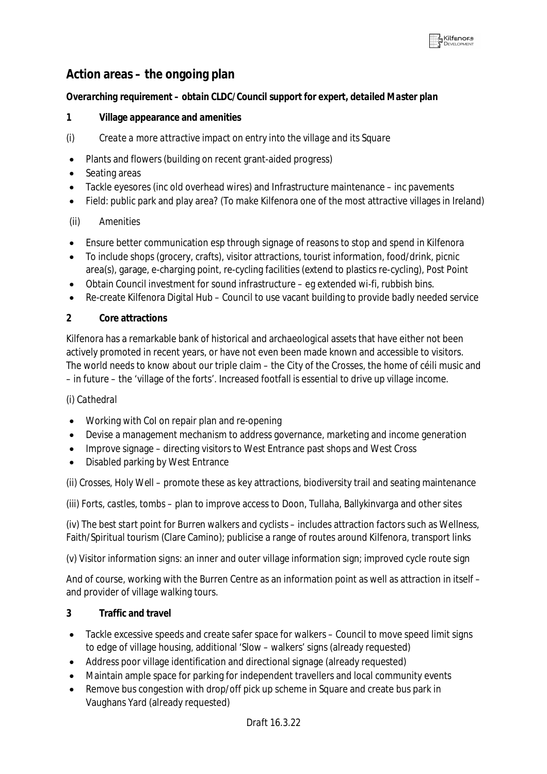## **Action areas – the ongoing plan**

#### *Overarching requirement – obtain CLDC/Council support for expert, detailed Master plan*

#### **1 Village appearance and amenities**

- *(i) Create a more attractive impact on entry into the village and its Square*
- Plants and flowers (building on recent grant-aided progress)
- Seating areas
- Tackle eyesores (inc old overhead wires) and Infrastructure maintenance inc pavements
- Field: public park and play area? (To make Kilfenora one of the most attractive villages in Ireland)

#### *(ii) Amenities*

- Ensure better communication esp through signage of reasons to stop and spend in Kilfenora
- To include shops (grocery, crafts), visitor attractions, tourist information, food/drink, picnic area(s), garage, e-charging point, re-cycling facilities (extend to plastics re-cycling), Post Point
- Obtain Council investment for sound infrastructure eg extended wi-fi, rubbish bins.
- Re-create Kilfenora Digital Hub Council to use vacant building to provide badly needed service

#### **2 Core attractions**

Kilfenora has a remarkable bank of historical and archaeological assets that have either not been actively promoted in recent years, or have not even been made known and accessible to visitors. The world needs to know about our triple claim – the City of the Crosses, the home of céili music and – in future – the 'village of the forts'. Increased footfall is essential to drive up village income.

#### *(i) Cathedral*

- Working with CoI on repair plan and re-opening
- Devise a management mechanism to address governance, marketing and income generation
- Improve signage directing visitors to West Entrance past shops and West Cross
- Disabled parking by West Entrance

*(ii) Crosses, Holy Well* – promote these as key attractions, biodiversity trail and seating maintenance

*(iii) Forts, castles, tombs* – plan to improve access to Doon, Tullaha, Ballykinvarga and other sites

*(iv) The best start point for Burren walkers and cyclists* – includes attraction factors such as Wellness, Faith/Spiritual tourism (Clare Camino); publicise a range of routes around Kilfenora, transport links

*(v) Visitor information signs:* an inner and outer village information sign; improved cycle route sign

And of course, working with the Burren Centre as an information point as well as attraction in itself – and provider of village walking tours.

### **3 Traffic and travel**

- Tackle excessive speeds and create safer space for walkers Council to move speed limit signs to edge of village housing, additional 'Slow – walkers' signs (already requested)
- Address poor village identification and directional signage (already requested)
- Maintain ample space for parking for independent travellers and local community events
- Remove bus congestion with drop/off pick up scheme in Square and create bus park in Vaughans Yard (already requested)